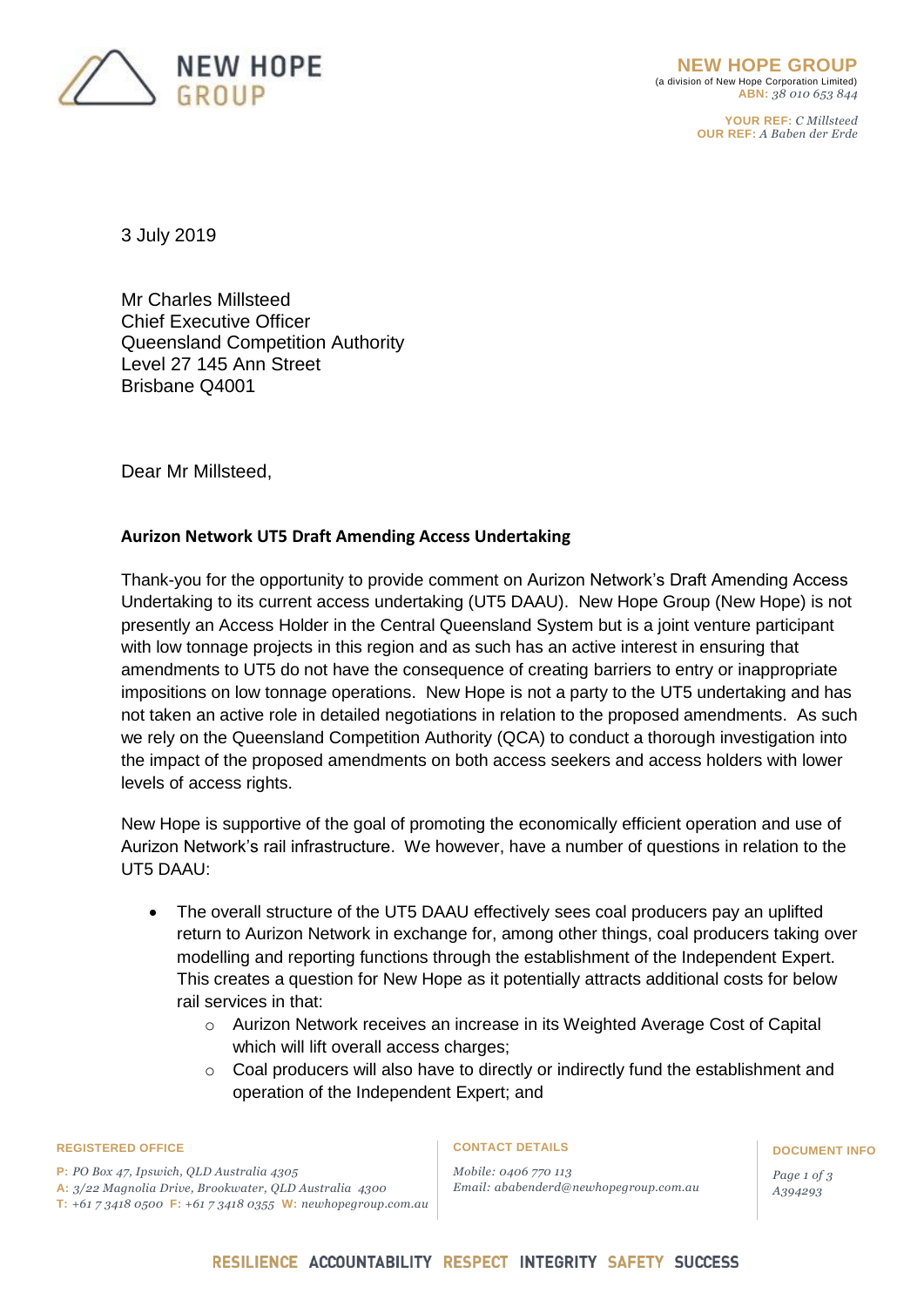

**YOUR REF:** *C Millsteed* **OUR REF:** *A Baben der Erde*

3 July 2019

Mr Charles Millsteed Chief Executive Officer Queensland Competition Authority Level 27 145 Ann Street Brisbane Q4001

Dear Mr Millsteed,

# **Aurizon Network UT5 Draft Amending Access Undertaking**

Thank-you for the opportunity to provide comment on Aurizon Network's Draft Amending Access Undertaking to its current access undertaking (UT5 DAAU). New Hope Group (New Hope) is not presently an Access Holder in the Central Queensland System but is a joint venture participant with low tonnage projects in this region and as such has an active interest in ensuring that amendments to UT5 do not have the consequence of creating barriers to entry or inappropriate impositions on low tonnage operations. New Hope is not a party to the UT5 undertaking and has not taken an active role in detailed negotiations in relation to the proposed amendments. As such we rely on the Queensland Competition Authority (QCA) to conduct a thorough investigation into the impact of the proposed amendments on both access seekers and access holders with lower levels of access rights.

New Hope is supportive of the goal of promoting the economically efficient operation and use of Aurizon Network's rail infrastructure. We however, have a number of questions in relation to the UT5 DAAU:

- The overall structure of the UT5 DAAU effectively sees coal producers pay an uplifted return to Aurizon Network in exchange for, among other things, coal producers taking over modelling and reporting functions through the establishment of the Independent Expert. This creates a question for New Hope as it potentially attracts additional costs for below rail services in that:
	- o Aurizon Network receives an increase in its Weighted Average Cost of Capital which will lift overall access charges;
	- o Coal producers will also have to directly or indirectly fund the establishment and operation of the Independent Expert; and

### **REGISTERED OFFICE CONTACT DETAILS DOCUMENT INFO**

**P:** *PO Box 47, Ipswich, QLD Australia 4305*  **A:** *3/22 Magnolia Drive, Brookwater, QLD Australia 4300* **T:** *+61 7 3418 0500* **F:** *+61 7 3418 0355* **W:** *newhopegroup.com.au*

*Mobile: 0406 770 113 Email: ababenderd@newhopegroup.com.au*

*Page 1 of 3 A394293*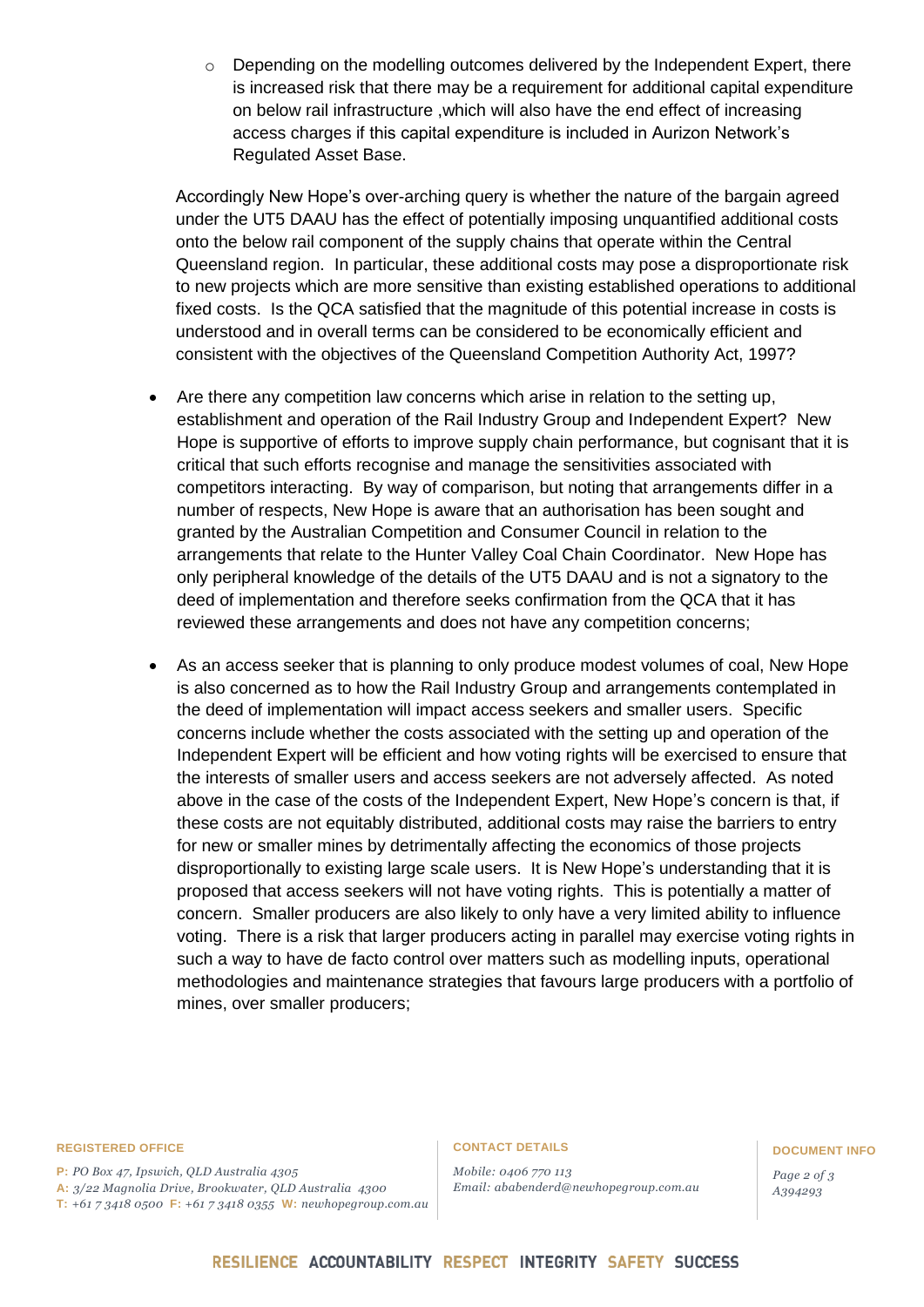$\circ$  Depending on the modelling outcomes delivered by the Independent Expert, there is increased risk that there may be a requirement for additional capital expenditure on below rail infrastructure ,which will also have the end effect of increasing access charges if this capital expenditure is included in Aurizon Network's Regulated Asset Base.

Accordingly New Hope's over-arching query is whether the nature of the bargain agreed under the UT5 DAAU has the effect of potentially imposing unquantified additional costs onto the below rail component of the supply chains that operate within the Central Queensland region. In particular, these additional costs may pose a disproportionate risk to new projects which are more sensitive than existing established operations to additional fixed costs. Is the QCA satisfied that the magnitude of this potential increase in costs is understood and in overall terms can be considered to be economically efficient and consistent with the objectives of the Queensland Competition Authority Act, 1997?

- Are there any competition law concerns which arise in relation to the setting up, establishment and operation of the Rail Industry Group and Independent Expert? New Hope is supportive of efforts to improve supply chain performance, but cognisant that it is critical that such efforts recognise and manage the sensitivities associated with competitors interacting. By way of comparison, but noting that arrangements differ in a number of respects, New Hope is aware that an authorisation has been sought and granted by the Australian Competition and Consumer Council in relation to the arrangements that relate to the Hunter Valley Coal Chain Coordinator. New Hope has only peripheral knowledge of the details of the UT5 DAAU and is not a signatory to the deed of implementation and therefore seeks confirmation from the QCA that it has reviewed these arrangements and does not have any competition concerns;
- As an access seeker that is planning to only produce modest volumes of coal, New Hope is also concerned as to how the Rail Industry Group and arrangements contemplated in the deed of implementation will impact access seekers and smaller users. Specific concerns include whether the costs associated with the setting up and operation of the Independent Expert will be efficient and how voting rights will be exercised to ensure that the interests of smaller users and access seekers are not adversely affected. As noted above in the case of the costs of the Independent Expert, New Hope's concern is that, if these costs are not equitably distributed, additional costs may raise the barriers to entry for new or smaller mines by detrimentally affecting the economics of those projects disproportionally to existing large scale users. It is New Hope's understanding that it is proposed that access seekers will not have voting rights. This is potentially a matter of concern. Smaller producers are also likely to only have a very limited ability to influence voting. There is a risk that larger producers acting in parallel may exercise voting rights in such a way to have de facto control over matters such as modelling inputs, operational methodologies and maintenance strategies that favours large producers with a portfolio of mines, over smaller producers;

### **REGISTERED OFFICE CONTACT DETAILS DOCUMENT INFO**

**P:** *PO Box 47, Ipswich, QLD Australia 4305*  **A:** *3/22 Magnolia Drive, Brookwater, QLD Australia 4300* **T:** *+61 7 3418 0500* **F:** *+61 7 3418 0355* **W:** *newhopegroup.com.au*

*Mobile: 0406 770 113 Email: ababenderd@newhopegroup.com.au*

*Page 2 of 3 A394293*